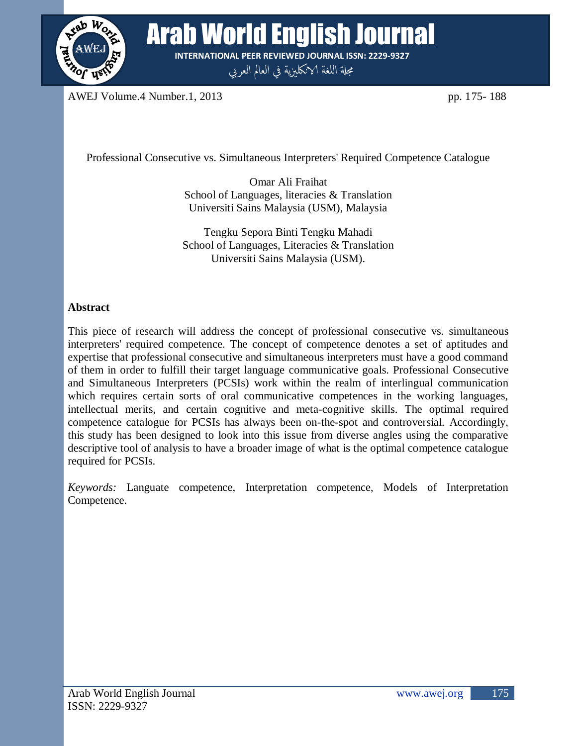

**Arab World English Journal INTERNATIONAL PEER REVIEWED JOURNAL ISSN: 2229-9327**

مجلة اللغة الانكليزية في العالم العربي

AWEJ Volume.4 Number.1, 2013 pp. 175- 188

Professional Consecutive vs. Simultaneous Interpreters' Required Competence Catalogue

Omar Ali Fraihat School of Languages, literacies & Translation Universiti Sains Malaysia (USM), Malaysia

Tengku Sepora Binti Tengku Mahadi School of Languages, Literacies & Translation Universiti Sains Malaysia (USM).

# **Abstract**

This piece of research will address the concept of professional consecutive vs. simultaneous interpreters' required competence. The concept of competence denotes a set of aptitudes and expertise that professional consecutive and simultaneous interpreters must have a good command of them in order to fulfill their target language communicative goals. Professional Consecutive and Simultaneous Interpreters (PCSIs) work within the realm of interlingual communication which requires certain sorts of oral communicative competences in the working languages, intellectual merits, and certain cognitive and meta-cognitive skills. The optimal required competence catalogue for PCSIs has always been on-the-spot and controversial. Accordingly, this study has been designed to look into this issue from diverse angles using the comparative descriptive tool of analysis to have a broader image of what is the optimal competence catalogue required for PCSIs.

*Keywords:* Languate competence, Interpretation competence, Models of Interpretation Competence.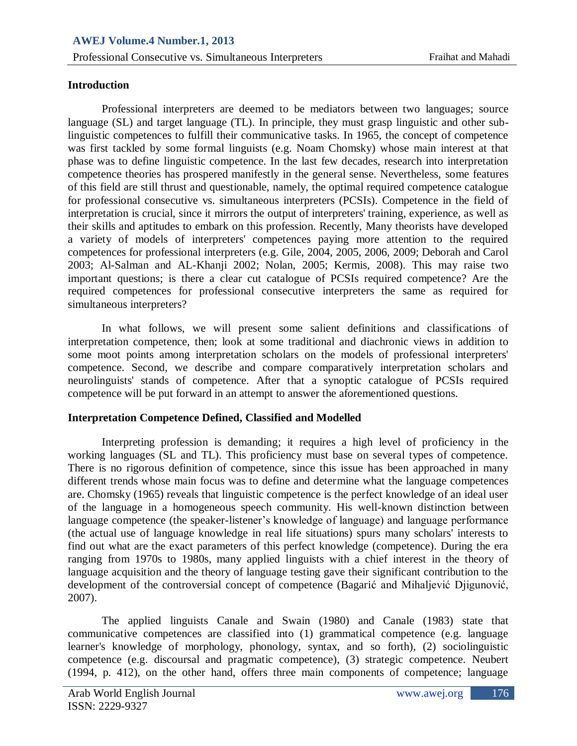### **Introduction**

Professional interpreters are deemed to be mediators between two languages; source language (SL) and target language (TL). In principle, they must grasp linguistic and other sublinguistic competences to fulfill their communicative tasks. In 1965, the concept of competence was first tackled by some formal linguists (e.g. Noam Chomsky) whose main interest at that phase was to define linguistic competence. In the last few decades, research into interpretation competence theories has prospered manifestly in the general sense. Nevertheless, some features of this field are still thrust and questionable, namely, the optimal required competence catalogue for professional consecutive vs. simultaneous interpreters (PCSIs). Competence in the field of interpretation is crucial, since it mirrors the output of interpreters' training, experience, as well as their skills and aptitudes to embark on this profession. Recently, Many theorists have developed a variety of models of interpreters' competences paying more attention to the required competences for professional interpreters (e.g. Gile, 2004, 2005, 2006, 2009; Deborah and Carol 2003; Al-Salman and AL-Khanji 2002; Nolan, 2005; Kermis, 2008). This may raise two important questions; is there a clear cut catalogue of PCSIs required competence? Are the required competences for professional consecutive interpreters the same as required for simultaneous interpreters?

In what follows, we will present some salient definitions and classifications of interpretation competence, then; look at some traditional and diachronic views in addition to some moot points among interpretation scholars on the models of professional interpreters' competence. Second, we describe and compare comparatively interpretation scholars and neurolinguists' stands of competence. After that a synoptic catalogue of PCSIs required competence will be put forward in an attempt to answer the aforementioned questions.

#### **Interpretation Competence Defined, Classified and Modelled**

Interpreting profession is demanding; it requires a high level of proficiency in the working languages (SL and TL). This proficiency must base on several types of competence. There is no rigorous definition of competence, since this issue has been approached in many different trends whose main focus was to define and determine what the language competences are. Chomsky (1965) reveals that linguistic competence is the perfect knowledge of an ideal user of the language in a homogeneous speech community. His well-known distinction between language competence (the speaker-listener's knowledge of language) and language performance (the actual use of language knowledge in real life situations) spurs many scholars' interests to find out what are the exact parameters of this perfect knowledge (competence). During the era ranging from 1970s to 1980s, many applied linguists with a chief interest in the theory of language acquisition and the theory of language testing gave their significant contribution to the development of the controversial concept of competence (Bagarić and Mihaljević Djigunović, 2007).

The applied linguists Canale and Swain (1980) and Canale (1983) state that communicative competences are classified into (1) grammatical competence (e.g. language learner's knowledge of morphology, phonology, syntax, and so forth), (2) sociolinguistic competence (e.g. discoursal and pragmatic competence), (3) strategic competence. Neubert (1994, p. 412), on the other hand, offers three main components of competence; language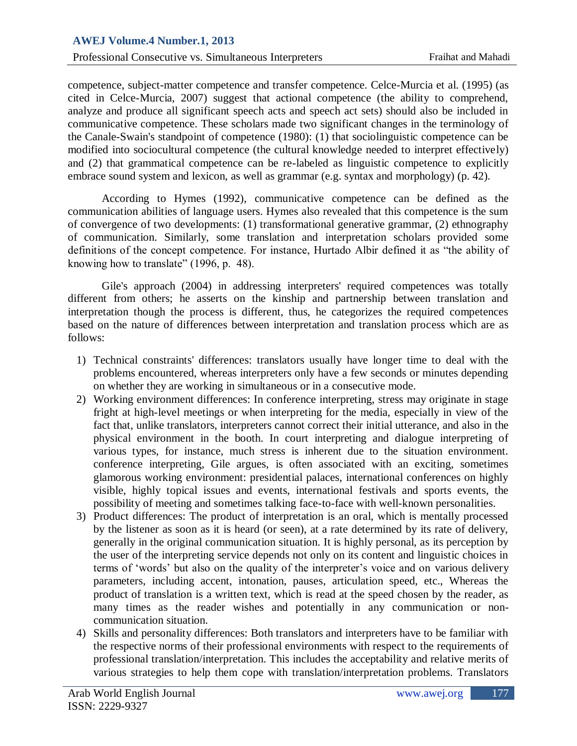competence, subject-matter competence and transfer competence. Celce-Murcia et al. (1995) (as cited in Celce-Murcia, 2007) suggest that actional competence (the ability to comprehend, analyze and produce all significant speech acts and speech act sets) should also be included in communicative competence. These scholars made two significant changes in the terminology of the Canale-Swain's standpoint of competence (1980): (1) that sociolinguistic competence can be modified into sociocultural competence (the cultural knowledge needed to interpret effectively) and (2) that grammatical competence can be re-labeled as linguistic competence to explicitly embrace sound system and lexicon, as well as grammar (e.g. syntax and morphology) (p. 42).

According to Hymes (1992), communicative competence can be defined as the communication abilities of language users. Hymes also revealed that this competence is the sum of convergence of two developments: (1) transformational generative grammar, (2) ethnography of communication. Similarly, some translation and interpretation scholars provided some definitions of the concept competence. For instance, Hurtado Albir defined it as "the ability of knowing how to translate" (1996, p. 48).

Gile's approach (2004) in addressing interpreters' required competences was totally different from others; he asserts on the kinship and partnership between translation and interpretation though the process is different, thus, he categorizes the required competences based on the nature of differences between interpretation and translation process which are as follows:

- 1) Technical constraints' differences: translators usually have longer time to deal with the problems encountered, whereas interpreters only have a few seconds or minutes depending on whether they are working in simultaneous or in a consecutive mode.
- 2) Working environment differences: In conference interpreting, stress may originate in stage fright at high-level meetings or when interpreting for the media, especially in view of the fact that, unlike translators, interpreters cannot correct their initial utterance, and also in the physical environment in the booth. In court interpreting and dialogue interpreting of various types, for instance, much stress is inherent due to the situation environment. conference interpreting, Gile argues, is often associated with an exciting, sometimes glamorous working environment: presidential palaces, international conferences on highly visible, highly topical issues and events, international festivals and sports events, the possibility of meeting and sometimes talking face-to-face with well-known personalities.
- 3) Product differences: The product of interpretation is an oral, which is mentally processed by the listener as soon as it is heard (or seen), at a rate determined by its rate of delivery, generally in the original communication situation. It is highly personal, as its perception by the user of the interpreting service depends not only on its content and linguistic choices in terms of 'words' but also on the quality of the interpreter's voice and on various delivery parameters, including accent, intonation, pauses, articulation speed, etc., Whereas the product of translation is a written text, which is read at the speed chosen by the reader, as many times as the reader wishes and potentially in any communication or noncommunication situation.
- 4) Skills and personality differences: Both translators and interpreters have to be familiar with the respective norms of their professional environments with respect to the requirements of professional translation/interpretation. This includes the acceptability and relative merits of various strategies to help them cope with translation/interpretation problems. Translators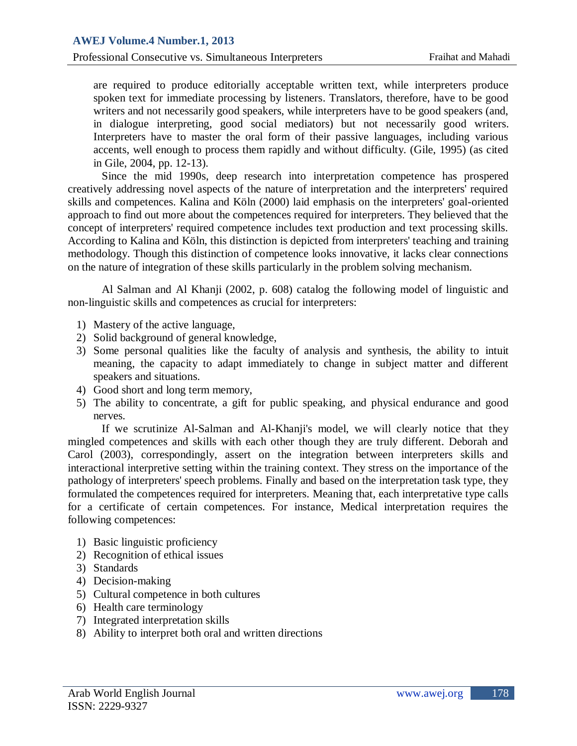are required to produce editorially acceptable written text, while interpreters produce spoken text for immediate processing by listeners. Translators, therefore, have to be good writers and not necessarily good speakers, while interpreters have to be good speakers (and, in dialogue interpreting, good social mediators) but not necessarily good writers. Interpreters have to master the oral form of their passive languages, including various accents, well enough to process them rapidly and without difficulty. (Gile, 1995) (as cited in Gile, 2004, pp. 12-13).

Since the mid 1990s, deep research into interpretation competence has prospered creatively addressing novel aspects of the nature of interpretation and the interpreters' required skills and competences. Kalina and Köln (2000) laid emphasis on the interpreters' goal-oriented approach to find out more about the competences required for interpreters. They believed that the concept of interpreters' required competence includes text production and text processing skills. According to Kalina and Köln, this distinction is depicted from interpreters' teaching and training methodology. Though this distinction of competence looks innovative, it lacks clear connections on the nature of integration of these skills particularly in the problem solving mechanism.

Al Salman and Al Khanji (2002, p. 608) catalog the following model of linguistic and non-linguistic skills and competences as crucial for interpreters:

- 1) Mastery of the active language,
- 2) Solid background of general knowledge,
- 3) Some personal qualities like the faculty of analysis and synthesis, the ability to intuit meaning, the capacity to adapt immediately to change in subject matter and different speakers and situations.
- 4) Good short and long term memory,
- 5) The ability to concentrate, a gift for public speaking, and physical endurance and good nerves.

If we scrutinize Al-Salman and Al-Khanji's model, we will clearly notice that they mingled competences and skills with each other though they are truly different. Deborah and Carol (2003), correspondingly, assert on the integration between interpreters skills and interactional interpretive setting within the training context. They stress on the importance of the pathology of interpreters' speech problems. Finally and based on the interpretation task type, they formulated the competences required for interpreters. Meaning that, each interpretative type calls for a certificate of certain competences. For instance, Medical interpretation requires the following competences:

- 1) Basic linguistic proficiency
- 2) Recognition of ethical issues
- 3) Standards
- 4) Decision-making
- 5) Cultural competence in both cultures
- 6) Health care terminology
- 7) Integrated interpretation skills
- 8) Ability to interpret both oral and written directions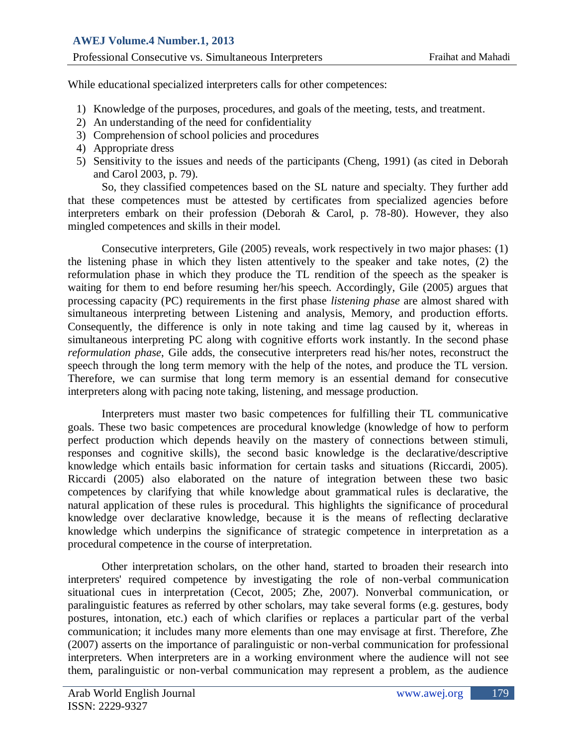While educational specialized interpreters calls for other competences:

- 1) Knowledge of the purposes, procedures, and goals of the meeting, tests, and treatment.
- 2) An understanding of the need for confidentiality
- 3) Comprehension of school policies and procedures
- 4) Appropriate dress
- 5) Sensitivity to the issues and needs of the participants (Cheng, 1991) (as cited in Deborah and Carol 2003, p. 79).

So, they classified competences based on the SL nature and specialty. They further add that these competences must be attested by certificates from specialized agencies before interpreters embark on their profession (Deborah & Carol, p. 78-80). However, they also mingled competences and skills in their model.

Consecutive interpreters, Gile (2005) reveals, work respectively in two major phases: (1) the listening phase in which they listen attentively to the speaker and take notes, (2) the reformulation phase in which they produce the TL rendition of the speech as the speaker is waiting for them to end before resuming her/his speech. Accordingly, Gile (2005) argues that processing capacity (PC) requirements in the first phase *listening phase* are almost shared with simultaneous interpreting between Listening and analysis, Memory, and production efforts. Consequently, the difference is only in note taking and time lag caused by it, whereas in simultaneous interpreting PC along with cognitive efforts work instantly. In the second phase *reformulation phase*, Gile adds, the consecutive interpreters read his/her notes, reconstruct the speech through the long term memory with the help of the notes, and produce the TL version. Therefore, we can surmise that long term memory is an essential demand for consecutive interpreters along with pacing note taking, listening, and message production.

Interpreters must master two basic competences for fulfilling their TL communicative goals. These two basic competences are procedural knowledge (knowledge of how to perform perfect production which depends heavily on the mastery of connections between stimuli, responses and cognitive skills), the second basic knowledge is the declarative/descriptive knowledge which entails basic information for certain tasks and situations (Riccardi, 2005). Riccardi (2005) also elaborated on the nature of integration between these two basic competences by clarifying that while knowledge about grammatical rules is declarative, the natural application of these rules is procedural. This highlights the significance of procedural knowledge over declarative knowledge, because it is the means of reflecting declarative knowledge which underpins the significance of strategic competence in interpretation as a procedural competence in the course of interpretation.

Other interpretation scholars, on the other hand, started to broaden their research into interpreters' required competence by investigating the role of non-verbal communication situational cues in interpretation (Cecot, 2005; Zhe, 2007). Nonverbal communication, or paralinguistic features as referred by other scholars, may take several forms (e.g. gestures, body postures, intonation, etc.) each of which clarifies or replaces a particular part of the verbal communication; it includes many more elements than one may envisage at first. Therefore, Zhe (2007) asserts on the importance of paralinguistic or non-verbal communication for professional interpreters. When interpreters are in a working environment where the audience will not see them, paralinguistic or non-verbal communication may represent a problem, as the audience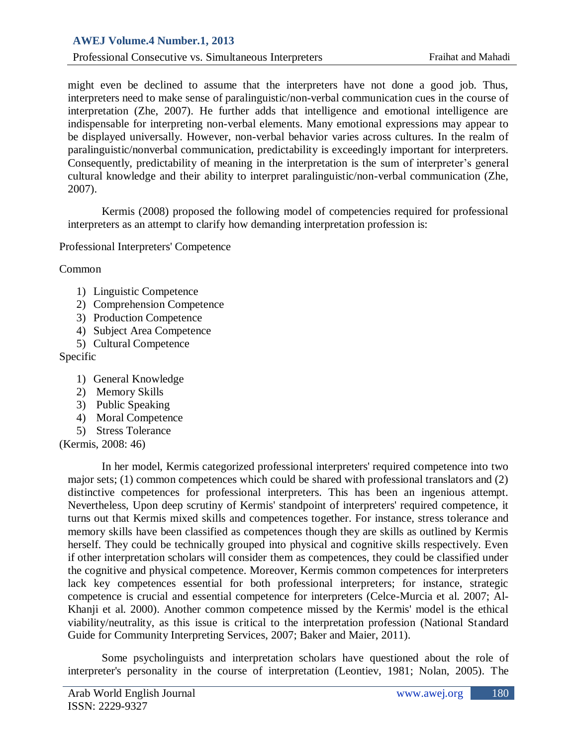# **AWEJ Volume.4 Number.1, 2013**

Professional Consecutive vs. Simultaneous Interpreters Fraihat and Mahadi

might even be declined to assume that the interpreters have not done a good job. Thus, interpreters need to make sense of paralinguistic/non-verbal communication cues in the course of interpretation (Zhe, 2007). He further adds that intelligence and emotional intelligence are indispensable for interpreting non-verbal elements. Many emotional expressions may appear to be displayed universally. However, non-verbal behavior varies across cultures. In the realm of paralinguistic/nonverbal communication, predictability is exceedingly important for interpreters. Consequently, predictability of meaning in the interpretation is the sum of interpreter's general cultural knowledge and their ability to interpret paralinguistic/non-verbal communication (Zhe, 2007).

Kermis (2008) proposed the following model of competencies required for professional interpreters as an attempt to clarify how demanding interpretation profession is:

Professional Interpreters' Competence

Common

- 1) Linguistic Competence
- 2) Comprehension Competence
- 3) Production Competence
- 4) Subject Area Competence
- 5) Cultural Competence

Specific

- 1) General Knowledge
- 2) Memory Skills
- 3) Public Speaking
- 4) Moral Competence
- 5) Stress Tolerance

(Kermis, 2008: 46)

In her model, Kermis categorized professional interpreters' required competence into two major sets; (1) common competences which could be shared with professional translators and (2) distinctive competences for professional interpreters. This has been an ingenious attempt. Nevertheless, Upon deep scrutiny of Kermis' standpoint of interpreters' required competence, it turns out that Kermis mixed skills and competences together. For instance, stress tolerance and memory skills have been classified as competences though they are skills as outlined by Kermis herself. They could be technically grouped into physical and cognitive skills respectively. Even if other interpretation scholars will consider them as competences, they could be classified under the cognitive and physical competence. Moreover, Kermis common competences for interpreters lack key competences essential for both professional interpreters; for instance, strategic competence is crucial and essential competence for interpreters (Celce-Murcia et al. 2007; Al-Khanji et al. 2000). Another common competence missed by the Kermis' model is the ethical viability/neutrality, as this issue is critical to the interpretation profession (National Standard Guide for Community Interpreting Services, 2007; Baker and Maier, 2011).

Some psycholinguists and interpretation scholars have questioned about the role of interpreter's personality in the course of interpretation (Leontiev, 1981; Nolan, 2005). The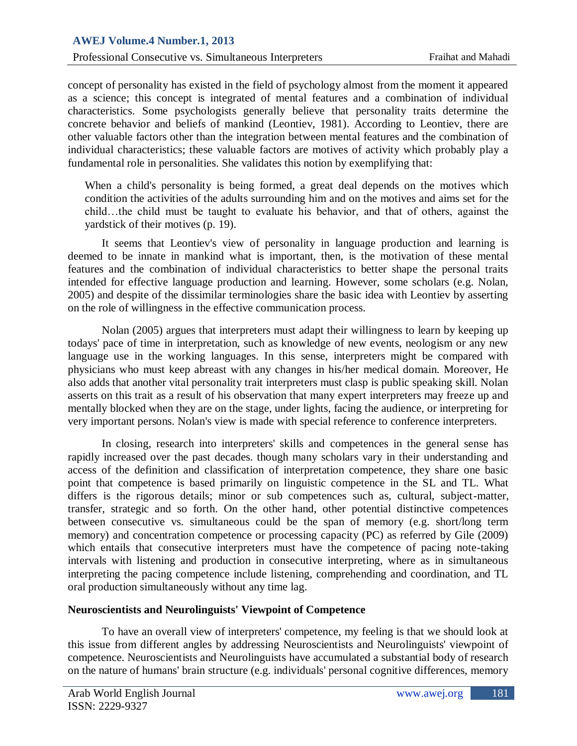concept of personality has existed in the field of psychology almost from the moment it appeared as a science; this concept is integrated of mental features and a combination of individual characteristics. Some psychologists generally believe that personality traits determine the concrete behavior and beliefs of mankind (Leontiev, 1981). According to Leontiev, there are other valuable factors other than the integration between mental features and the combination of individual characteristics; these valuable factors are motives of activity which probably play a fundamental role in personalities. She validates this notion by exemplifying that:

When a child's personality is being formed, a great deal depends on the motives which condition the activities of the adults surrounding him and on the motives and aims set for the child…the child must be taught to evaluate his behavior, and that of others, against the yardstick of their motives (p. 19).

It seems that Leontiev's view of personality in language production and learning is deemed to be innate in mankind what is important, then, is the motivation of these mental features and the combination of individual characteristics to better shape the personal traits intended for effective language production and learning. However, some scholars (e.g. Nolan, 2005) and despite of the dissimilar terminologies share the basic idea with Leontiev by asserting on the role of willingness in the effective communication process.

Nolan (2005) argues that interpreters must adapt their willingness to learn by keeping up todays' pace of time in interpretation, such as knowledge of new events, neologism or any new language use in the working languages. In this sense, interpreters might be compared with physicians who must keep abreast with any changes in his/her medical domain. Moreover, He also adds that another vital personality trait interpreters must clasp is public speaking skill. Nolan asserts on this trait as a result of his observation that many expert interpreters may freeze up and mentally blocked when they are on the stage, under lights, facing the audience, or interpreting for very important persons. Nolan's view is made with special reference to conference interpreters.

In closing, research into interpreters' skills and competences in the general sense has rapidly increased over the past decades. though many scholars vary in their understanding and access of the definition and classification of interpretation competence, they share one basic point that competence is based primarily on linguistic competence in the SL and TL. What differs is the rigorous details; minor or sub competences such as, cultural, subject-matter, transfer, strategic and so forth. On the other hand, other potential distinctive competences between consecutive vs. simultaneous could be the span of memory (e.g. short/long term memory) and concentration competence or processing capacity (PC) as referred by Gile (2009) which entails that consecutive interpreters must have the competence of pacing note-taking intervals with listening and production in consecutive interpreting, where as in simultaneous interpreting the pacing competence include listening, comprehending and coordination, and TL oral production simultaneously without any time lag.

## **Neuroscientists and Neurolinguists' Viewpoint of Competence**

To have an overall view of interpreters' competence, my feeling is that we should look at this issue from different angles by addressing Neuroscientists and Neurolinguists' viewpoint of competence. Neuroscientists and Neurolinguists have accumulated a substantial body of research on the nature of humans' brain structure (e.g. individuals' personal cognitive differences, memory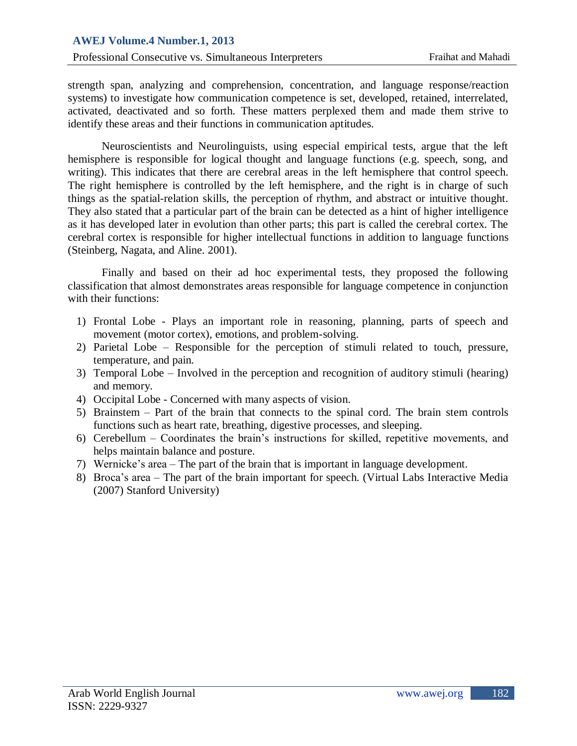strength span, analyzing and comprehension, concentration, and language response/reaction systems) to investigate how communication competence is set, developed, retained, interrelated, activated, deactivated and so forth. These matters perplexed them and made them strive to identify these areas and their functions in communication aptitudes.

Neuroscientists and Neurolinguists, using especial empirical tests, argue that the left hemisphere is responsible for logical thought and language functions (e.g. speech, song, and writing). This indicates that there are cerebral areas in the left hemisphere that control speech. The right hemisphere is controlled by the left hemisphere, and the right is in charge of such things as the spatial-relation skills, the perception of rhythm, and abstract or intuitive thought. They also stated that a particular part of the brain can be detected as a hint of higher intelligence as it has developed later in evolution than other parts; this part is called the cerebral cortex. The cerebral cortex is responsible for higher intellectual functions in addition to language functions (Steinberg, Nagata, and Aline. 2001).

Finally and based on their ad hoc experimental tests, they proposed the following classification that almost demonstrates areas responsible for language competence in conjunction with their functions:

- 1) Frontal Lobe Plays an important role in reasoning, planning, parts of speech and movement (motor cortex), emotions, and problem-solving.
- 2) Parietal Lobe Responsible for the perception of stimuli related to touch, pressure, temperature, and pain.
- 3) Temporal Lobe Involved in the perception and recognition of auditory stimuli (hearing) and memory.
- 4) Occipital Lobe Concerned with many aspects of vision.
- 5) Brainstem Part of the brain that connects to the spinal cord. The brain stem controls functions such as heart rate, breathing, digestive processes, and sleeping.
- 6) Cerebellum Coordinates the brain's instructions for skilled, repetitive movements, and helps maintain balance and posture.
- 7) Wernicke's area The part of the brain that is important in language development.
- 8) Broca's area The part of the brain important for speech. (Virtual Labs Interactive Media (2007) Stanford University)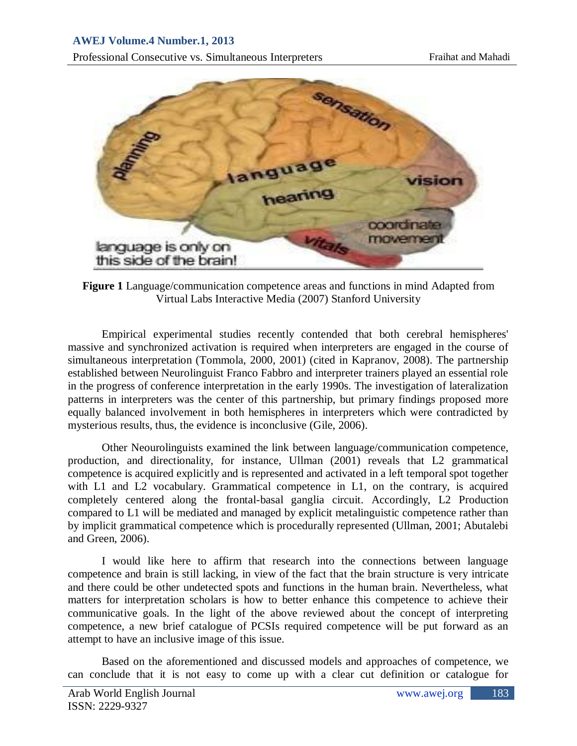

**Figure 1** Language/communication competence areas and functions in mind Adapted from Virtual Labs Interactive Media (2007) Stanford University

Empirical experimental studies recently contended that both cerebral hemispheres' massive and synchronized activation is required when interpreters are engaged in the course of simultaneous interpretation (Tommola, 2000, 2001) (cited in Kapranov, 2008). The partnership established between Neurolinguist Franco Fabbro and interpreter trainers played an essential role in the progress of conference interpretation in the early 1990s. The investigation of lateralization patterns in interpreters was the center of this partnership, but primary findings proposed more equally balanced involvement in both hemispheres in interpreters which were contradicted by mysterious results, thus, the evidence is inconclusive (Gile, 2006).

Other Neourolinguists examined the link between language/communication competence, production, and directionality, for instance, Ullman (2001) reveals that L2 grammatical competence is acquired explicitly and is represented and activated in a left temporal spot together with L1 and L2 vocabulary. Grammatical competence in L1, on the contrary, is acquired completely centered along the frontal-basal ganglia circuit. Accordingly, L2 Production compared to L1 will be mediated and managed by explicit metalinguistic competence rather than by implicit grammatical competence which is procedurally represented (Ullman, 2001; Abutalebi and Green, 2006).

I would like here to affirm that research into the connections between language competence and brain is still lacking, in view of the fact that the brain structure is very intricate and there could be other undetected spots and functions in the human brain. Nevertheless, what matters for interpretation scholars is how to better enhance this competence to achieve their communicative goals. In the light of the above reviewed about the concept of interpreting competence, a new brief catalogue of PCSIs required competence will be put forward as an attempt to have an inclusive image of this issue.

Based on the aforementioned and discussed models and approaches of competence, we can conclude that it is not easy to come up with a clear cut definition or catalogue for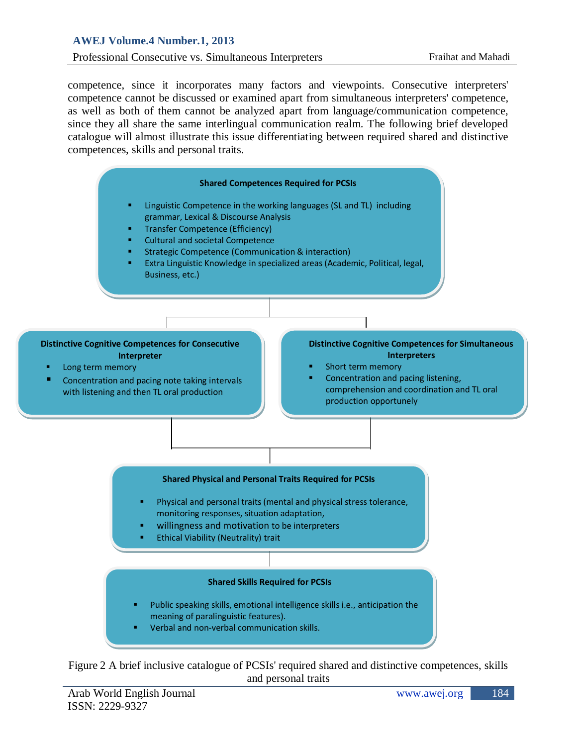# **AWEJ Volume.4 Number.1, 2013**

#### Professional Consecutive vs. Simultaneous Interpreters Fraihat and Mahadi

competence, since it incorporates many factors and viewpoints. Consecutive interpreters' competence cannot be discussed or examined apart from simultaneous interpreters' competence, as well as both of them cannot be analyzed apart from language/communication competence, since they all share the same interlingual communication realm. The following brief developed catalogue will almost illustrate this issue differentiating between required shared and distinctive competences, skills and personal traits.



Figure 2 A brief inclusive catalogue of PCSIs' required shared and distinctive competences, skills and personal traits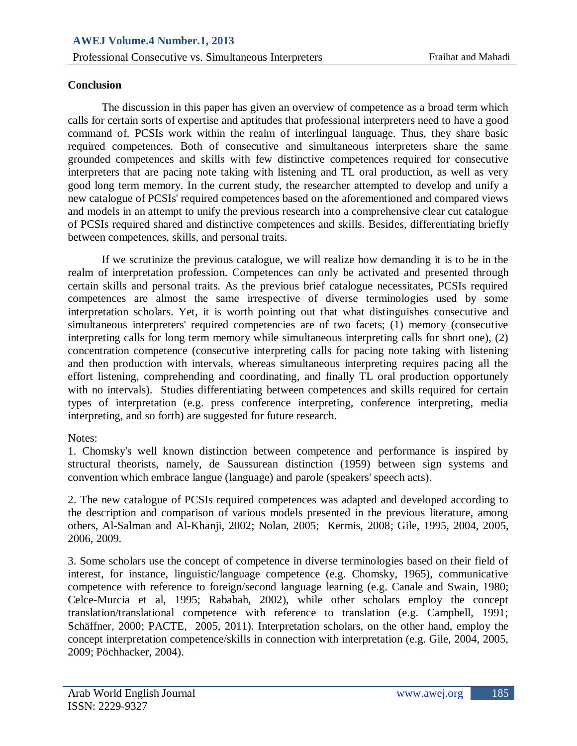## **Conclusion**

The discussion in this paper has given an overview of competence as a broad term which calls for certain sorts of expertise and aptitudes that professional interpreters need to have a good command of. PCSIs work within the realm of interlingual language. Thus, they share basic required competences. Both of consecutive and simultaneous interpreters share the same grounded competences and skills with few distinctive competences required for consecutive interpreters that are pacing note taking with listening and TL oral production, as well as very good long term memory. In the current study, the researcher attempted to develop and unify a new catalogue of PCSIs' required competences based on the aforementioned and compared views and models in an attempt to unify the previous research into a comprehensive clear cut catalogue of PCSIs required shared and distinctive competences and skills. Besides, differentiating briefly between competences, skills, and personal traits.

If we scrutinize the previous catalogue, we will realize how demanding it is to be in the realm of interpretation profession. Competences can only be activated and presented through certain skills and personal traits. As the previous brief catalogue necessitates, PCSIs required competences are almost the same irrespective of diverse terminologies used by some interpretation scholars. Yet, it is worth pointing out that what distinguishes consecutive and simultaneous interpreters' required competencies are of two facets; (1) memory (consecutive interpreting calls for long term memory while simultaneous interpreting calls for short one), (2) concentration competence (consecutive interpreting calls for pacing note taking with listening and then production with intervals, whereas simultaneous interpreting requires pacing all the effort listening, comprehending and coordinating, and finally TL oral production opportunely with no intervals). Studies differentiating between competences and skills required for certain types of interpretation (e.g. press conference interpreting, conference interpreting, media interpreting, and so forth) are suggested for future research.

## Notes:

1. Chomsky's well known distinction between competence and performance is inspired by structural theorists, namely, de Saussurean distinction (1959) between sign systems and convention which embrace langue (language) and parole (speakers' speech acts).

2. The new catalogue of PCSIs required competences was adapted and developed according to the description and comparison of various models presented in the previous literature, among others, Al-Salman and Al-Khanji, 2002; Nolan, 2005; Kermis, 2008; Gile, 1995, 2004, 2005, 2006, 2009.

3. Some scholars use the concept of competence in diverse terminologies based on their field of interest, for instance, linguistic/language competence (e.g. Chomsky, 1965), communicative competence with reference to foreign/second language learning (e.g. Canale and Swain, 1980; Celce-Murcia et al, 1995; Rababah, 2002), while other scholars employ the concept translation/translational competence with reference to translation (e.g. Campbell, 1991; Schäffner, 2000; PACTE, 2005, 2011). Interpretation scholars, on the other hand, employ the concept interpretation competence/skills in connection with interpretation (e.g. Gile, 2004, 2005, 2009; Pöchhacker, 2004).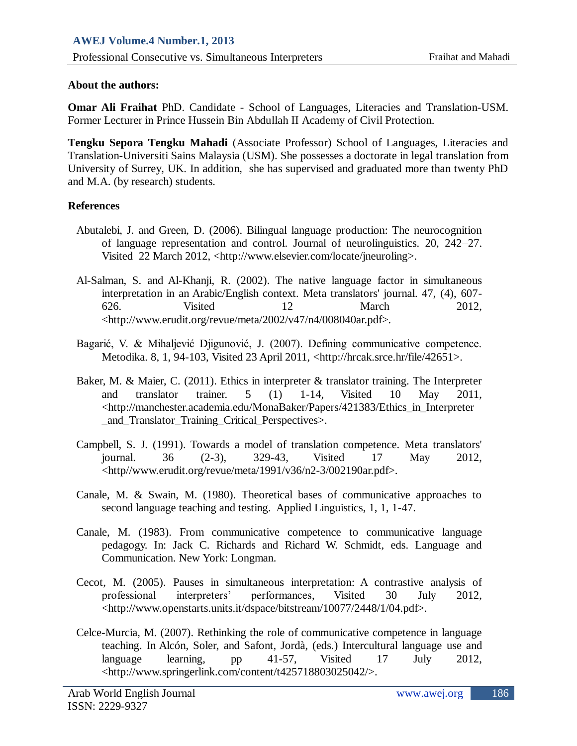### **About the authors:**

**Omar Ali Fraihat** PhD. Candidate - School of Languages, Literacies and Translation-USM. Former Lecturer in Prince Hussein Bin Abdullah II Academy of Civil Protection.

**Tengku Sepora Tengku Mahadi** (Associate Professor) School of Languages, Literacies and Translation-Universiti Sains Malaysia (USM). She possesses a doctorate in legal translation from University of Surrey, UK. In addition, she has supervised and graduated more than twenty PhD and M.A. (by research) students.

### **References**

- Abutalebi, J. and Green, D. (2006). Bilingual language production: The neurocognition of language representation and control. Journal of neurolinguistics. 20, 242–27. Visited 22 March 2012, <http:/[/www.elsevier.com/locate/jneuroling>](http://www.elsevier.com/locate/jneuroling).
- Al-Salman, S. and Al-Khanji, R. (2002). The native language factor in simultaneous interpretation in an Arabic/English context. Meta translators' journal. 47, (4), 607- 626. Visited 12 March 2012, <http://www.erudit.org/revue/meta/2002/v47/n4/008040ar.pdf>.
- Bagarić, V. & Mihaljević Djigunović, J. (2007). Defining communicative competence. Metodika. 8, 1, 94-103, Visited 23 April 2011, [<http://hrcak.srce.hr/file/42651>](http://hrcak.srce.hr/file/42651).
- Baker, M. & Maier, C. (2011). Ethics in interpreter & translator training. The Interpreter and translator trainer. 5 (1) 1-14, Visited 10 May 2011, [<http://manchester.academia.edu/MonaBaker/Papers/421383/Ethics\\_in\\_Interpreter](http://manchester.academia.edu/MonaBaker/Papers/421383/Ethics_in_Interpreter_and_Translator_Training_Critical_Perspectives) and Translator Training Critical Perspectives >.
- Campbell, S. J. (1991). Towards a model of translation competence. Meta translators' journal. 36 (2-3), 329-43, Visited 17 May 2012, <http//www.erudit.org/revue/meta/1991/v36/n2-3/002190ar.pdf>.
- Canale, M. & Swain, M. (1980). Theoretical bases of communicative approaches to second language teaching and testing. Applied Linguistics, 1, 1, 1-47.
- Canale, M. (1983). From communicative competence to communicative language pedagogy. In: Jack C. Richards and Richard W. Schmidt, eds. Language and Communication. New York: Longman.
- Cecot, M. (2005). Pauses in simultaneous interpretation: A contrastive analysis of professional interpreters' performances, Visited 30 July 2012, <http://www.openstarts.units.it/dspace/bitstream/10077/2448/1/04.pdf>.
- Celce-Murcia, M. (2007). Rethinking the role of communicative competence in language teaching. In Alcón, Soler, and Safont, Jordà, (eds.) Intercultural language use and language learning, pp 41-57, Visited 17 July 2012, <http://www.springerlink.com/content/t425718803025042/>.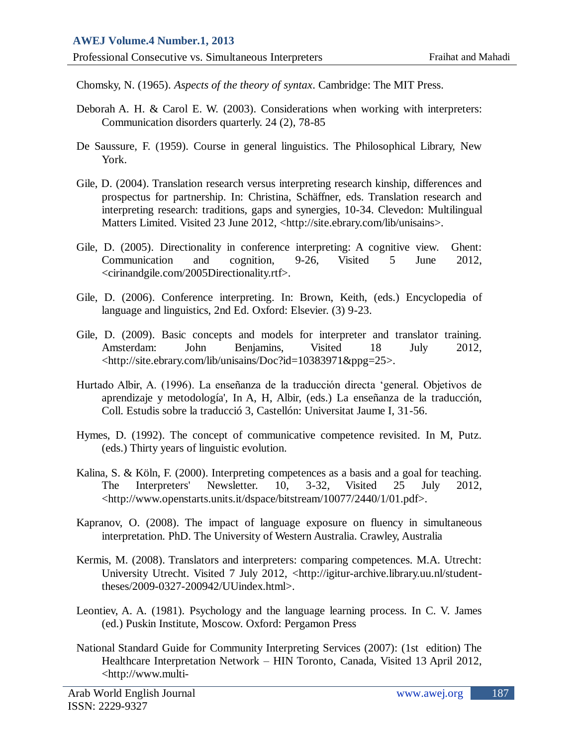Chomsky, N. (1965). *Aspects of the theory of syntax*. Cambridge: The MIT Press.

- Deborah A. H. & Carol E. W. (2003). Considerations when working with interpreters: Communication disorders quarterly. 24 (2), 78-85
- De Saussure, F. (1959). Course in general linguistics. The Philosophical Library, New York.
- Gile, D. (2004). Translation research versus interpreting research kinship, differences and prospectus for partnership. In: Christina, Schäffner, eds. Translation research and interpreting research: traditions, gaps and synergies, 10-34. Clevedon: Multilingual Matters Limited. Visited 23 June 2012, [<http://site.ebrary.com/lib/unisains>.](http://site.ebrary.com/lib/unisains)
- Gile, D. (2005). Directionality in conference interpreting: A cognitive view. Ghent: Communication and cognition, 9-26, Visited 5 June 2012, <cirinandgile.com/2005Directionality.rtf>.
- Gile, D. (2006). Conference interpreting. In: Brown, Keith, (eds.) Encyclopedia of language and linguistics, 2nd Ed. Oxford: Elsevier. (3) 9-23.
- Gile, D. (2009). Basic concepts and models for interpreter and translator training. Amsterdam: John Benjamins, Visited 18 July 2012, [<http://site.ebrary.com/lib/unisains/Doc?id=10383971&ppg=25>](http://site.ebrary.com/lib/unisains/Doc?id=10383971&ppg=25).
- Hurtado Albir, A. (1996). La enseñanza de la traducción directa 'general. Objetivos de aprendizaje y metodología', In A, H, Albir, (eds.) La enseñanza de la traducción, Coll. Estudis sobre la traducció 3, Castellón: Universitat Jaume I, 31-56.
- Hymes, D. (1992). The concept of communicative competence revisited. In M, Putz. (eds.) Thirty years of linguistic evolution.
- Kalina, S. & Köln, F. (2000). Interpreting competences as a basis and a goal for teaching. The Interpreters' Newsletter. 10, 3-32, Visited 25 July 2012, [<http://www.openstarts.units.it/dspace/bitstream/10077/2440/1/01.pdf>](http://www.openstarts.units.it/dspace/bitstream/10077/2440/1/01.pdf).
- Kapranov, [O.](http://trove.nla.gov.au/people/Kapranov%2C%20Oleksandr?c=book&q=creator%3A%22Kapranov%2C+Oleksandr%22) (2008). The impact of language exposure on fluency in simultaneous interpretation. PhD. The University of Western Australia. Crawley, Australia
- Kermis, M. (2008). Translators and interpreters: comparing competences. M.A. Utrecht: University Utrecht. Visited 7 July 2012, [<http://igitur-archive.library.uu.nl/student](http://igitur-archive.library.uu.nl/student-theses/2009-0327-200942/UUindex.html)[theses/2009-0327-200942/UUindex.html>](http://igitur-archive.library.uu.nl/student-theses/2009-0327-200942/UUindex.html).
- Leontiev, A. A. (1981). Psychology and the language learning process. In C. V. James (ed.) Puskin Institute, Moscow. Oxford: Pergamon Press
- National Standard Guide for Community Interpreting Services (2007): (1st edition) The Healthcare Interpretation Network – HIN Toronto, Canada, Visited 13 April 2012, <http://www.multi-